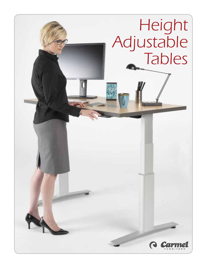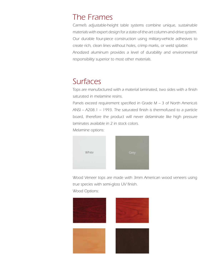## *The Frames*

*Carmel's adjustable-height table systems combine unique, sustainable materials with expert design for a state-of-the-art column-and-drive system. Our durable four-piece construction using military-vehicle adhesives to create rich, clean lines without holes, crimp marks, or weld splatter. Anodized aluminum provides a level of durability and environmental responsibility superior to most other materials.* 

## *Surfaces*

*Tops are manufactured with a material laminated, two sides with a finish saturated in melamine resins.*

*Panels exceed requirement specified in Grade M – 3 of North America's ANSI – A208.1 – 1993. The saturated finish is thermofused to a particle board, therefore the product will never delaminate like high pressure laminates available in 2 in stock colors.* 

*Melamine options:*



*Wood Veneer tops are made with 3mm American wood veneers using true species with semi-gloss UV finish.*

*Wood Options:*

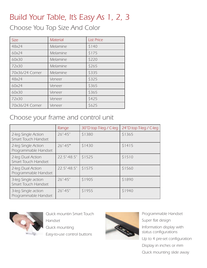## *Build Your Table, It's Easy As 1, 2, 3*

*Choose You Top Size And Color*

| Size            | <b>Material</b> | <b>List Price</b> |
|-----------------|-----------------|-------------------|
| 48x24           | Melamine        | \$140             |
| 60x24           | Melamine        | \$175             |
| 60x30           | Melamine        | \$220             |
| 72x30           | Melamine        | \$265             |
| 70x36/24 Corner | Melamine        | \$335             |
| 48x24           | Veneer          | \$325             |
| 60x24           | Veneer          | \$365             |
| 60x30           | Veneer          | \$365             |
| 72x30           | Veneer          | \$425             |
| 70x36/24 Corner | Veneer          | \$625             |

## *Choose your frame and control unit*

|                                             | Range       | 30"D top T-leg / C-leg | 24"D top T-leg / C-leg |
|---------------------------------------------|-------------|------------------------|------------------------|
| 2-leg Single Action<br>Smart Touch Handset  | $26 - 45$   | \$1380                 | \$1365                 |
| 2-leg Single Action<br>Programmable Handset | $26 - 45$ " | \$1430                 | \$1415                 |
| 2-leg Dual Action<br>Smart Touch Handset    | 22.5"-48.5" | \$1525                 | \$1510                 |
| 2-leg Dual Action<br>Programmable Handset   | 22.5"-48.5" | \$1575                 | \$1560                 |
| 3-leg Single action<br>Smart Touch Handset  | 26"-45"     | \$1905                 | \$1890                 |
| 3-leg Single action<br>Programmable Handset | $26 - 45$   | \$1955                 | \$1940                 |



*Quick mountin Smart Touch Handset Quick mounting Easy-to-use control buttons*



*Programmable Handset Super flat design Information display with status configurations Up to 4 pre-set configuration Display in inches or mm Quick mounting slide away*